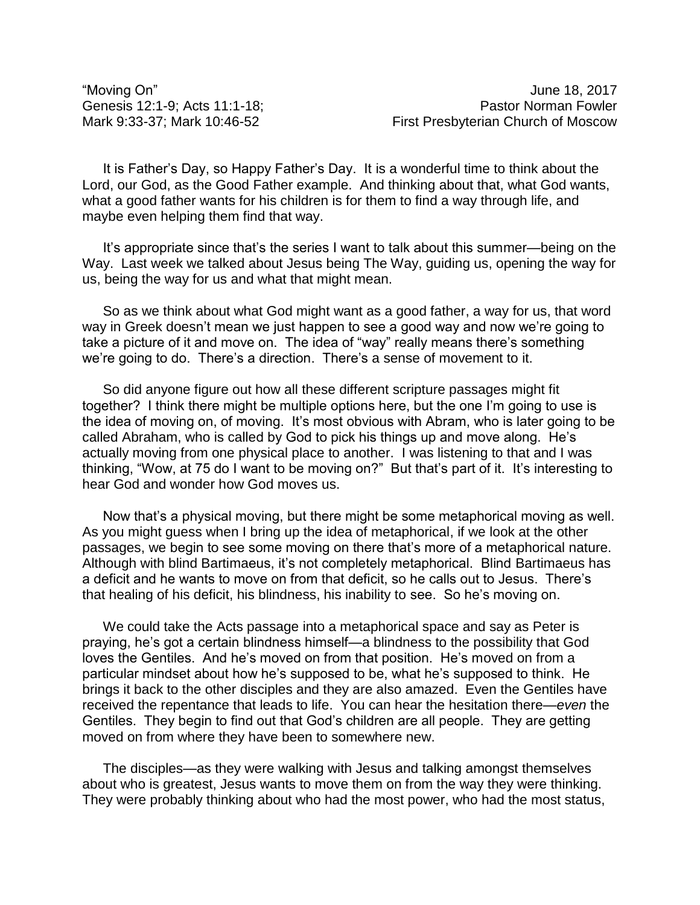It is Father's Day, so Happy Father's Day. It is a wonderful time to think about the Lord, our God, as the Good Father example. And thinking about that, what God wants, what a good father wants for his children is for them to find a way through life, and maybe even helping them find that way.

It's appropriate since that's the series I want to talk about this summer—being on the Way. Last week we talked about Jesus being The Way, guiding us, opening the way for us, being the way for us and what that might mean.

So as we think about what God might want as a good father, a way for us, that word way in Greek doesn't mean we just happen to see a good way and now we're going to take a picture of it and move on. The idea of "way" really means there's something we're going to do. There's a direction. There's a sense of movement to it.

So did anyone figure out how all these different scripture passages might fit together? I think there might be multiple options here, but the one I'm going to use is the idea of moving on, of moving. It's most obvious with Abram, who is later going to be called Abraham, who is called by God to pick his things up and move along. He's actually moving from one physical place to another. I was listening to that and I was thinking, "Wow, at 75 do I want to be moving on?" But that's part of it. It's interesting to hear God and wonder how God moves us.

Now that's a physical moving, but there might be some metaphorical moving as well. As you might guess when I bring up the idea of metaphorical, if we look at the other passages, we begin to see some moving on there that's more of a metaphorical nature. Although with blind Bartimaeus, it's not completely metaphorical. Blind Bartimaeus has a deficit and he wants to move on from that deficit, so he calls out to Jesus. There's that healing of his deficit, his blindness, his inability to see. So he's moving on.

We could take the Acts passage into a metaphorical space and say as Peter is praying, he's got a certain blindness himself—a blindness to the possibility that God loves the Gentiles. And he's moved on from that position. He's moved on from a particular mindset about how he's supposed to be, what he's supposed to think. He brings it back to the other disciples and they are also amazed. Even the Gentiles have received the repentance that leads to life. You can hear the hesitation there—*even* the Gentiles. They begin to find out that God's children are all people. They are getting moved on from where they have been to somewhere new.

The disciples—as they were walking with Jesus and talking amongst themselves about who is greatest, Jesus wants to move them on from the way they were thinking. They were probably thinking about who had the most power, who had the most status,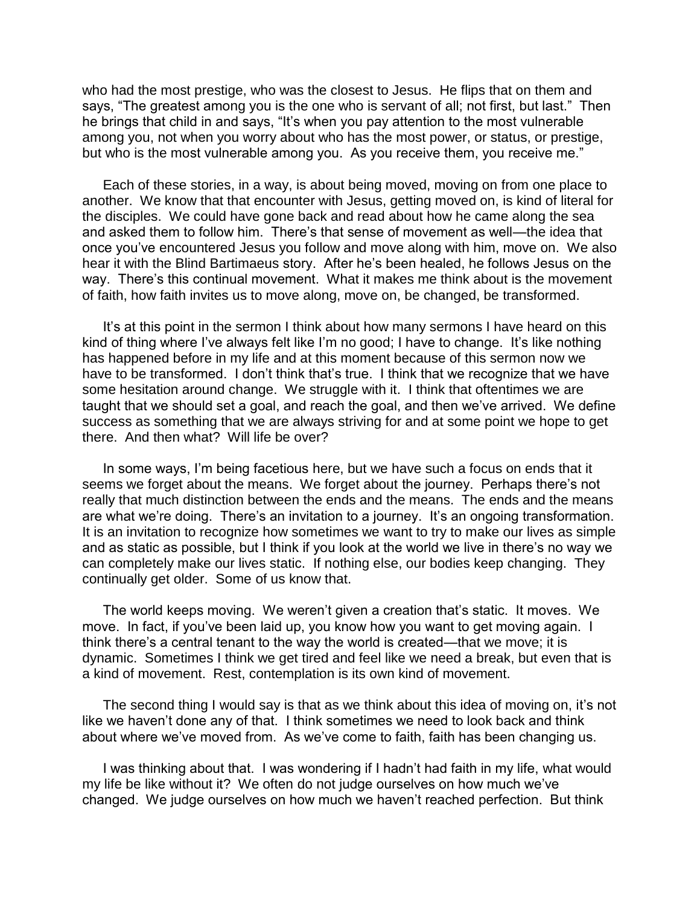who had the most prestige, who was the closest to Jesus. He flips that on them and says, "The greatest among you is the one who is servant of all; not first, but last." Then he brings that child in and says, "It's when you pay attention to the most vulnerable among you, not when you worry about who has the most power, or status, or prestige, but who is the most vulnerable among you. As you receive them, you receive me."

Each of these stories, in a way, is about being moved, moving on from one place to another. We know that that encounter with Jesus, getting moved on, is kind of literal for the disciples. We could have gone back and read about how he came along the sea and asked them to follow him. There's that sense of movement as well—the idea that once you've encountered Jesus you follow and move along with him, move on. We also hear it with the Blind Bartimaeus story. After he's been healed, he follows Jesus on the way. There's this continual movement. What it makes me think about is the movement of faith, how faith invites us to move along, move on, be changed, be transformed.

It's at this point in the sermon I think about how many sermons I have heard on this kind of thing where I've always felt like I'm no good; I have to change. It's like nothing has happened before in my life and at this moment because of this sermon now we have to be transformed. I don't think that's true. I think that we recognize that we have some hesitation around change. We struggle with it. I think that oftentimes we are taught that we should set a goal, and reach the goal, and then we've arrived. We define success as something that we are always striving for and at some point we hope to get there. And then what? Will life be over?

In some ways, I'm being facetious here, but we have such a focus on ends that it seems we forget about the means. We forget about the journey. Perhaps there's not really that much distinction between the ends and the means. The ends and the means are what we're doing. There's an invitation to a journey. It's an ongoing transformation. It is an invitation to recognize how sometimes we want to try to make our lives as simple and as static as possible, but I think if you look at the world we live in there's no way we can completely make our lives static. If nothing else, our bodies keep changing. They continually get older. Some of us know that.

The world keeps moving. We weren't given a creation that's static. It moves. We move. In fact, if you've been laid up, you know how you want to get moving again. I think there's a central tenant to the way the world is created—that we move; it is dynamic. Sometimes I think we get tired and feel like we need a break, but even that is a kind of movement. Rest, contemplation is its own kind of movement.

The second thing I would say is that as we think about this idea of moving on, it's not like we haven't done any of that. I think sometimes we need to look back and think about where we've moved from. As we've come to faith, faith has been changing us.

I was thinking about that. I was wondering if I hadn't had faith in my life, what would my life be like without it? We often do not judge ourselves on how much we've changed. We judge ourselves on how much we haven't reached perfection. But think